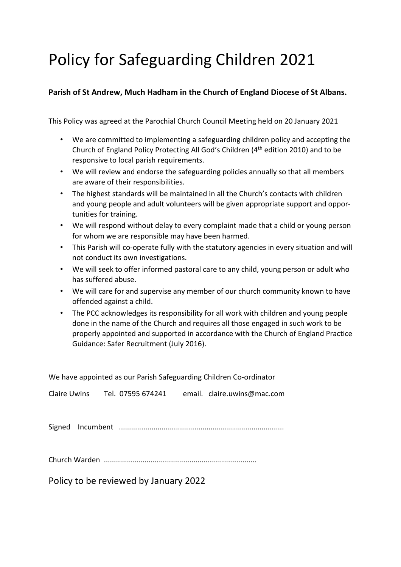# Policy for Safeguarding Children 2021

# **Parish of St Andrew, Much Hadham in the Church of England Diocese of St Albans.**

This Policy was agreed at the Parochial Church Council Meeting held on 20 January 2021

- We are committed to implementing a safeguarding children policy and accepting the Church of England Policy Protecting All God's Children (4th edition 2010) and to be responsive to local parish requirements.
- We will review and endorse the safeguarding policies annually so that all members are aware of their responsibilities.
- The highest standards will be maintained in all the Church's contacts with children and young people and adult volunteers will be given appropriate support and opportunities for training.
- We will respond without delay to every complaint made that a child or young person for whom we are responsible may have been harmed.
- This Parish will co-operate fully with the statutory agencies in every situation and will not conduct its own investigations.
- We will seek to offer informed pastoral care to any child, young person or adult who has suffered abuse.
- We will care for and supervise any member of our church community known to have offended against a child.
- The PCC acknowledges its responsibility for all work with children and young people done in the name of the Church and requires all those engaged in such work to be properly appointed and supported in accordance with the Church of England Practice Guidance: Safer Recruitment (July 2016).

| We have appointed as our Parish Safeguarding Children Co-ordinator |                                                            |  |  |
|--------------------------------------------------------------------|------------------------------------------------------------|--|--|
|                                                                    | Claire Uwins Tel. 07595 674241 email. claire.uwins@mac.com |  |  |
|                                                                    |                                                            |  |  |
|                                                                    |                                                            |  |  |
|                                                                    |                                                            |  |  |
|                                                                    |                                                            |  |  |
|                                                                    |                                                            |  |  |

Policy to be reviewed by January 2022